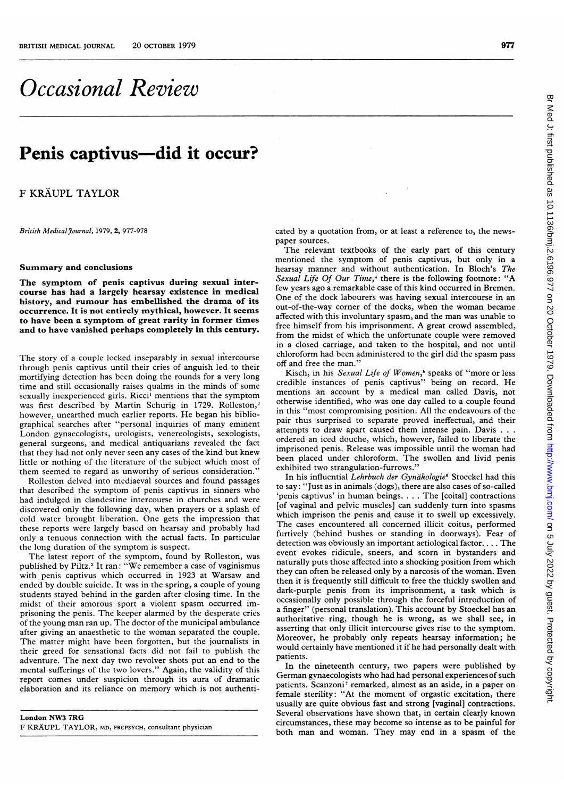# Occasional Review

## Penis captivus—did it occur?

F KRÄUPL TAYLOR

British Medical Journal, 1979, 2, 977-978

#### Summary and conclusions

The symptom of penis captivus during sexual intercourse has had a largely hearsay existence in medical history, and rumour has embellished the drama of its occurrence. It is not entirely mythical, however. It seems to have been a symptom of great rarity in former times and to have vanished perhaps completely in this century.

The story of <sup>a</sup> couple locked inseparably in sexual intercourse through penis captivus until their cries of anguish led to their mortifying detection has been doing the rounds for a very long time and still occasionally raises qualms in the minds of some sexually inexperienced girls. Ricci' mentions that the symptom was first described by Martin Schurig in 1729. Rolleston,<sup>2</sup> however, unearthed much earlier reports. He began his bibliographical searches after "personal inquiries of many eminent London gynaecologists, urologists, venereologists, sexologists, general surgeons, and medical antiquarians revealed the fact that they had not only never seen any cases of the kind but knew little or nothing of the literature of the subject which most of them seemed to regard as unworthy of serious consideration."

Rolleston delved into mediaeval sources and found passages that described the symptom of penis captivus in sinners who had indulged in clandestine intercourse in churches and were discovered only the following day, when prayers or a splash of cold water brought liberation. One gets the impression that these reports were largely based on hearsay and probably had only a tenuous connection with the actual facts. In particular the long duration of the symptom is suspect.

The latest report of the symptom, found by Rolleston, was published by Piltz.<sup>3</sup> It ran: "We remember a case of vaginismus with penis captivus which occurred in 1923 at Warsaw and ended by double suicide. It was in the spring, a couple of young students stayed behind in the garden after closing time. In the midst of their amorous sport a violent spasm occurred imprisoning the penis. The keeper alarmed by the desperate cries of the young man ran up. The doctor of the municipal ambulance after giving an anaesthetic to the woman separated the couple. The matter might have been forgotten, but the journalists in their greed for sensational facts did not fail to publish the adventure. The next day two revolver shots put an end to the mental sufferings of the two lovers." Again, the validity of this report comes under suspicion through its aura of dramatic elaboration and its reliance on memory which is not authenti-

cated by a quotation from, or at least a reference to, the newspaper sources.

The relevant textbooks of the early part of this century mentioned the symptom of penis captivus, but only in a hearsay manner and without authentication. In Bloch's The Sexual Life Of Our Time, $*$  there is the following footnote: "A few years ago a remarkable case of this kind occurred in Bremen. One of the dock labourers was having sexual intercourse in an out-of-the-way corner of the docks, when the woman became affected with this involuntary spasm, and the man was unable to free himself from his imprisonment. A great crowd assembled, from the midst of which the unfortunate couple were removed in a closed carriage, and taken to the hospital, and not until chloroform had been administered to the girl did the spasm pass off and free the man."

Kisch, in his Sexual Life of Women,<sup>s</sup> speaks of "more or less credible instances of penis captivus" being on record. He mentions an account by <sup>a</sup> medical man called Davis, not otherwise identified, who was one day called to <sup>a</sup> couple found in this "most compromising position. All the endeavours of the pair thus surprised to separate proved ineffectual, and their attempts to draw apart caused them intense pain. Davis . . . ordered an iced douche, which, however, failed to liberate the imprisoned penis. Release was impossible until the woman had been placed under chloroform. The swollen and livid penis exhibited two strangulation-furrows.'

In his influential Lehrbuch der Gynäkologie<sup>6</sup> Stoeckel had this to say: "Just as in animals (dogs), there are also cases of so-called 'penis captivus' in human beings.... The [coital] contractions [of vaginal and pelvic muscles] can suddenly turn into spasms which imprison the penis and cause it to swell up excessively. The cases encountered all concerned illicit coitus, performed furtively (behind bushes or standing in doorways). Fear of detection was obviously an important aetiological factor.... The event evokes ridicule, sneers, and scorn in bystanders and naturally puts those affected into a shocking position from which they can often be released only by a narcosis of the woman. Even then it is frequently still difficult to free the thickly swollen and dark-purple penis from its imprisonment, a task which is occasionally only possible through the forceful introduction of a finger" (personal translation). This account by Stoeckel has an authoritative ring, though he is wrong, as we shall see, in asserting that only illicit intercourse gives rise to the symptom. Moreover, he probably only repeats hearsay information; he would certainly have mentioned it if he had personally dealt with patients.

In the nineteenth century, two papers were published by German gynaecologists who had had personal experiences of such patients. Scanzoni<sup>7</sup> remarked, almost as an aside, in a paper on female sterility: ''At the moment of orgastic excitation, there usually are quite obvious fast and strong [vaginal] contractions. Several observations have shown that, in certain clearly known circumstances, these may become so intense as to be painful for both man and woman. They may end in <sup>a</sup> spasm of the

London NW3 7RG F KRAUPL TAYLOR, MD, FRCPSYCH, consultant physician